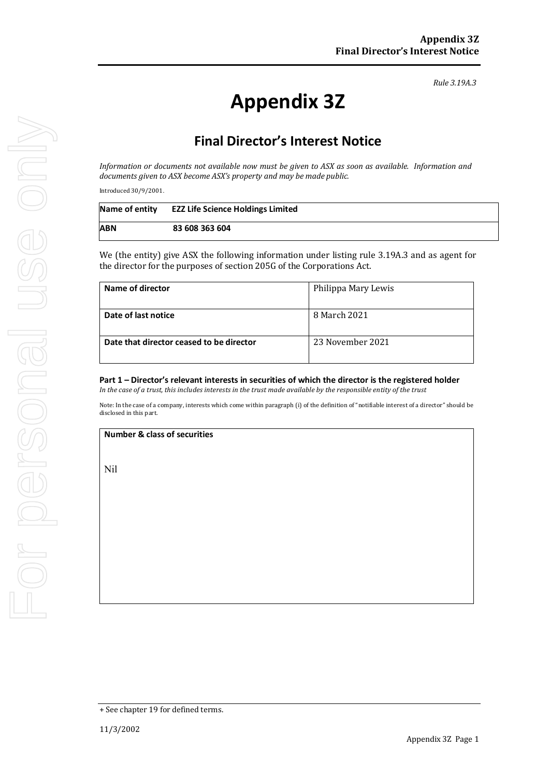*Rule 3.19A.3*

# **Appendix 3Z**

## **Final Director's Interest Notice**

*Information or documents not available now must be given to ASX as soon as available. Information and documents given to ASX become ASX's property and may be made public.*

Introduced 30/9/2001.

| Name of entity | <b>EZZ Life Science Holdings Limited</b> |
|----------------|------------------------------------------|
| ABN            | 83 608 363 604                           |

We (the entity) give ASX the following information under listing rule 3.19A.3 and as agent for the director for the purposes of section 205G of the Corporations Act.

| Name of director                         | Philippa Mary Lewis |
|------------------------------------------|---------------------|
| Date of last notice                      | 8 March 2021        |
| Date that director ceased to be director | 23 November 2021    |

### **Part 1 – Director's relevant interests in securities of which the director is the registered holder**

*In the case of a trust, this includes interests in the trust made available by the responsible entity of the trust*

Note: In the case of a company, interests which come within paragraph (i) of the definition of "notifiable interest of a director" should be disclosed in this part.

#### **Number & class of securities**

Nil

<sup>+</sup> See chapter 19 for defined terms.